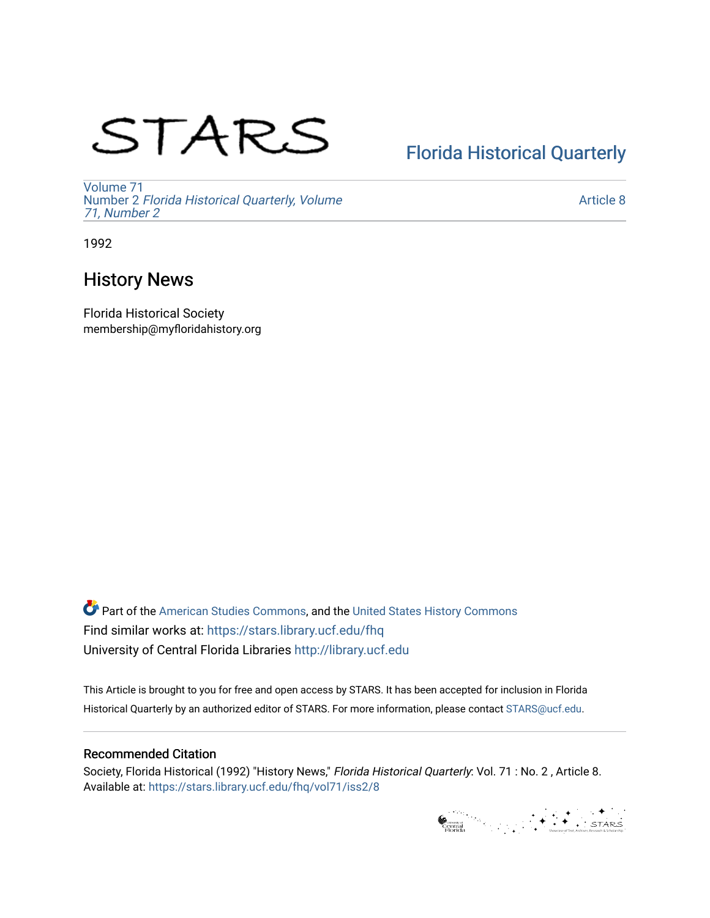# STARS

# [Florida Historical Quarterly](https://stars.library.ucf.edu/fhq)

[Volume 71](https://stars.library.ucf.edu/fhq/vol71) Number 2 [Florida Historical Quarterly, Volume](https://stars.library.ucf.edu/fhq/vol71/iss2)  [71, Number 2](https://stars.library.ucf.edu/fhq/vol71/iss2)

[Article 8](https://stars.library.ucf.edu/fhq/vol71/iss2/8) 

1992

## History News

Florida Historical Society membership@myfloridahistory.org

**C** Part of the [American Studies Commons](http://network.bepress.com/hgg/discipline/439?utm_source=stars.library.ucf.edu%2Ffhq%2Fvol71%2Fiss2%2F8&utm_medium=PDF&utm_campaign=PDFCoverPages), and the United States History Commons Find similar works at: <https://stars.library.ucf.edu/fhq> University of Central Florida Libraries [http://library.ucf.edu](http://library.ucf.edu/) 

This Article is brought to you for free and open access by STARS. It has been accepted for inclusion in Florida Historical Quarterly by an authorized editor of STARS. For more information, please contact [STARS@ucf.edu.](mailto:STARS@ucf.edu)

## Recommended Citation

Society, Florida Historical (1992) "History News," Florida Historical Quarterly: Vol. 71 : No. 2 , Article 8. Available at: [https://stars.library.ucf.edu/fhq/vol71/iss2/8](https://stars.library.ucf.edu/fhq/vol71/iss2/8?utm_source=stars.library.ucf.edu%2Ffhq%2Fvol71%2Fiss2%2F8&utm_medium=PDF&utm_campaign=PDFCoverPages) 

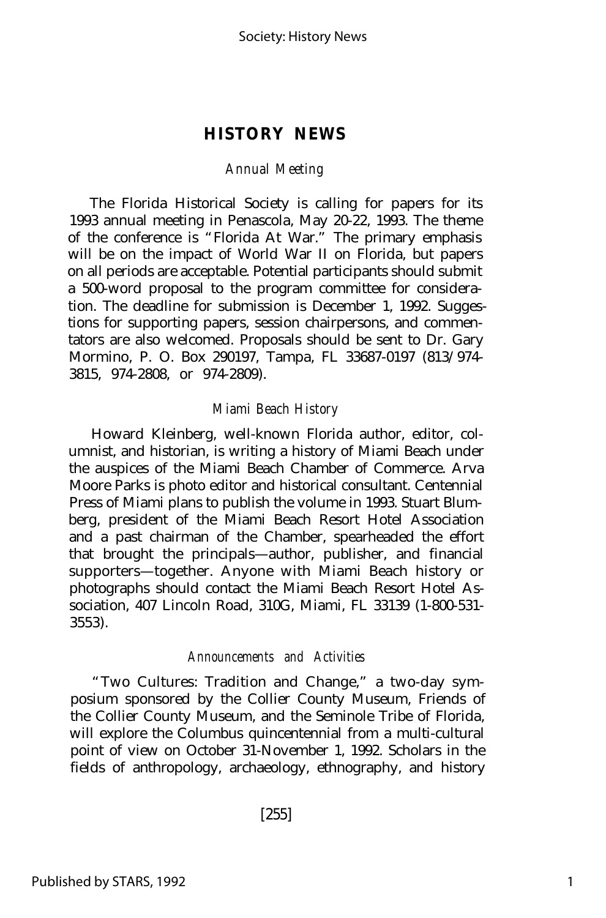### **HISTORY NEWS**

#### *Annual Meeting*

The Florida Historical Society is calling for papers for its 1993 annual meeting in Penascola, May 20-22, 1993. The theme of the conference is "Florida At War." The primary emphasis will be on the impact of World War II on Florida, but papers on all periods are acceptable. Potential participants should submit a 500-word proposal to the program committee for consideration. The deadline for submission is December 1, 1992. Suggestions for supporting papers, session chairpersons, and commentators are also welcomed. Proposals should be sent to Dr. Gary Mormino, P. O. Box 290197, Tampa, FL 33687-0197 (813/974- 3815, 974-2808, or 974-2809).

#### *Miami Beach History*

Howard Kleinberg, well-known Florida author, editor, columnist, and historian, is writing a history of Miami Beach under the auspices of the Miami Beach Chamber of Commerce. Arva Moore Parks is photo editor and historical consultant. Centennial Press of Miami plans to publish the volume in 1993. Stuart Blumberg, president of the Miami Beach Resort Hotel Association and a past chairman of the Chamber, spearheaded the effort that brought the principals— author, publisher, and financial supporters— together. Anyone with Miami Beach history or photographs should contact the Miami Beach Resort Hotel Association, 407 Lincoln Road, 310G, Miami, FL 33139 (1-800-531- 3553).

#### *Announcements and Activities*

"Two Cultures: Tradition and Change," a two-day symposium sponsored by the Collier County Museum, Friends of the Collier County Museum, and the Seminole Tribe of Florida, will explore the Columbus quincentennial from a multi-cultural point of view on October 31-November 1, 1992. Scholars in the fields of anthropology, archaeology, ethnography, and history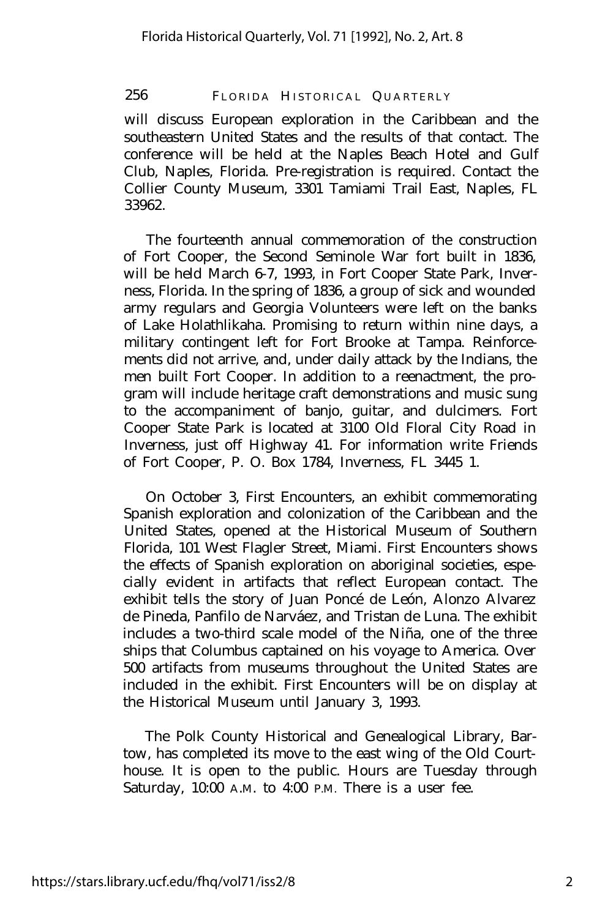256 FLORIDA HISTORICAL QUARTERLY

will discuss European exploration in the Caribbean and the southeastern United States and the results of that contact. The conference will be held at the Naples Beach Hotel and Gulf Club, Naples, Florida. Pre-registration is required. Contact the Collier County Museum, 3301 Tamiami Trail East, Naples, FL 33962.

The fourteenth annual commemoration of the construction of Fort Cooper, the Second Seminole War fort built in 1836, will be held March 6-7, 1993, in Fort Cooper State Park, Inverness, Florida. In the spring of 1836, a group of sick and wounded army regulars and Georgia Volunteers were left on the banks of Lake Holathlikaha. Promising to return within nine days, a military contingent left for Fort Brooke at Tampa. Reinforcements did not arrive, and, under daily attack by the Indians, the men built Fort Cooper. In addition to a reenactment, the program will include heritage craft demonstrations and music sung to the accompaniment of banjo, guitar, and dulcimers. Fort Cooper State Park is located at 3100 Old Floral City Road in Inverness, just off Highway 41. For information write Friends of Fort Cooper, P. O. Box 1784, Inverness, FL 3445 1.

On October 3, First Encounters, an exhibit commemorating Spanish exploration and colonization of the Caribbean and the United States, opened at the Historical Museum of Southern Florida, 101 West Flagler Street, Miami. First Encounters shows the effects of Spanish exploration on aboriginal societies, especially evident in artifacts that reflect European contact. The exhibit tells the story of Juan Poncé de León, Alonzo Alvarez de Pineda, Panfilo de Narváez, and Tristan de Luna. The exhibit includes a two-third scale model of the Niña, one of the three ships that Columbus captained on his voyage to America. Over 500 artifacts from museums throughout the United States are included in the exhibit. First Encounters will be on display at the Historical Museum until January 3, 1993.

The Polk County Historical and Genealogical Library, Bartow, has completed its move to the east wing of the Old Courthouse. It is open to the public. Hours are Tuesday through Saturday, 10:00 A.M. to 4:00 P.M. There is a user fee.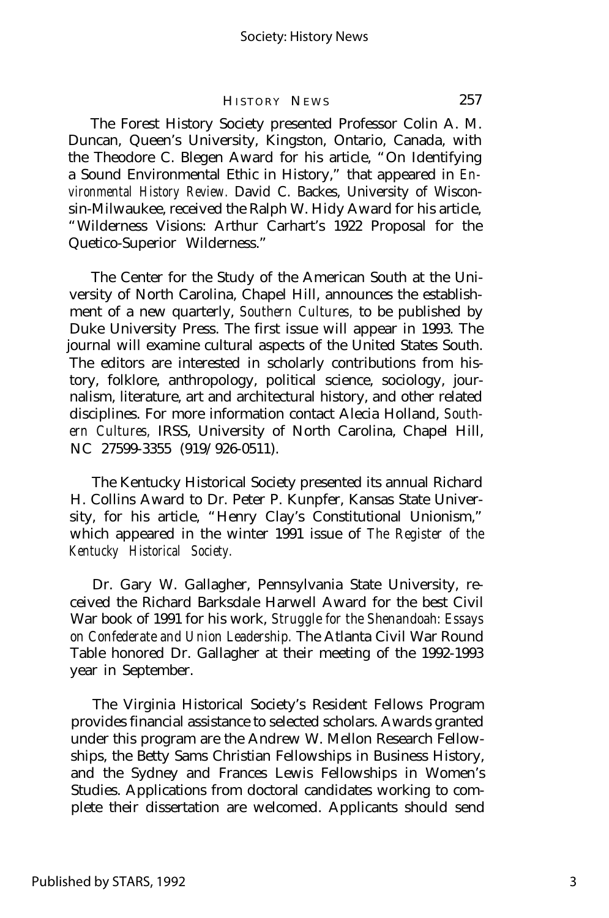#### HISTORY NEWS 257

The Forest History Society presented Professor Colin A. M. Duncan, Queen's University, Kingston, Ontario, Canada, with the Theodore C. Blegen Award for his article, "On Identifying a Sound Environmental Ethic in History," that appeared in *Environmental History Review.* David C. Backes, University of Wisconsin-Milwaukee, received the Ralph W. Hidy Award for his article, "Wilderness Visions: Arthur Carhart's 1922 Proposal for the Quetico-Superior Wilderness."

The Center for the Study of the American South at the University of North Carolina, Chapel Hill, announces the establishment of a new quarterly, *Southern Cultures,* to be published by Duke University Press. The first issue will appear in 1993. The journal will examine cultural aspects of the United States South. The editors are interested in scholarly contributions from history, folklore, anthropology, political science, sociology, journalism, literature, art and architectural history, and other related disciplines. For more information contact Alecia Holland, *Southern Cultures,* IRSS, University of North Carolina, Chapel Hill, NC 27599-3355 (919/926-0511).

The Kentucky Historical Society presented its annual Richard H. Collins Award to Dr. Peter P. Kunpfer, Kansas State University, for his article, "Henry Clay's Constitutional Unionism," which appeared in the winter 1991 issue of *The Register of the Kentucky Historical Society.*

Dr. Gary W. Gallagher, Pennsylvania State University, received the Richard Barksdale Harwell Award for the best Civil War book of 1991 for his work, *Struggle for the Shenandoah: Essays on Confederate and Union Leadership.* The Atlanta Civil War Round Table honored Dr. Gallagher at their meeting of the 1992-1993 year in September.

The Virginia Historical Society's Resident Fellows Program provides financial assistance to selected scholars. Awards granted under this program are the Andrew W. Mellon Research Fellowships, the Betty Sams Christian Fellowships in Business History, and the Sydney and Frances Lewis Fellowships in Women's Studies. Applications from doctoral candidates working to complete their dissertation are welcomed. Applicants should send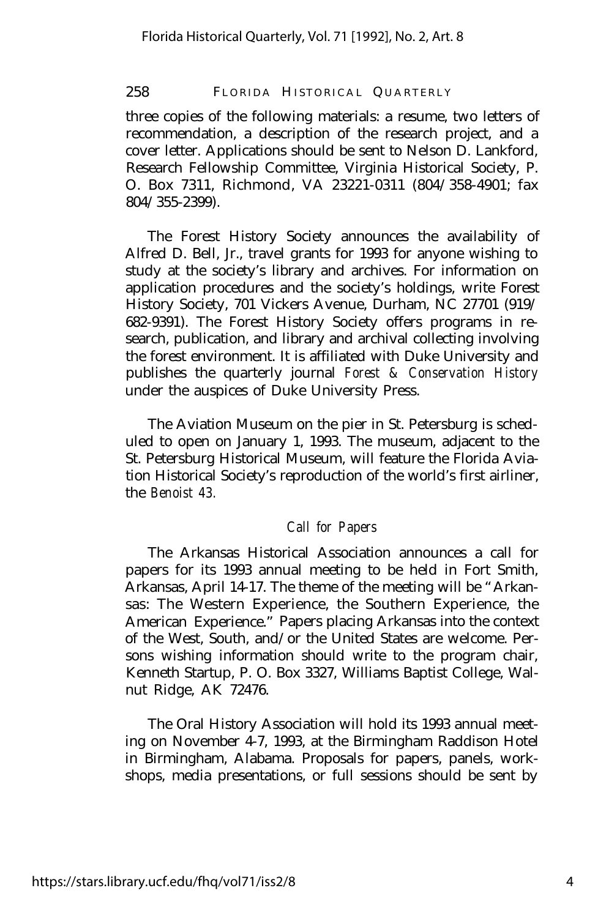258 FLORIDA HISTORICAL QUARTERLY

three copies of the following materials: a resume, two letters of recommendation, a description of the research project, and a cover letter. Applications should be sent to Nelson D. Lankford, Research Fellowship Committee, Virginia Historical Society, P. O. Box 7311, Richmond, VA 23221-0311 (804/358-4901; fax 804/355-2399).

The Forest History Society announces the availability of Alfred D. Bell, Jr., travel grants for 1993 for anyone wishing to study at the society's library and archives. For information on application procedures and the society's holdings, write Forest History Society, 701 Vickers Avenue, Durham, NC 27701 (919/ 682-9391). The Forest History Society offers programs in research, publication, and library and archival collecting involving the forest environment. It is affiliated with Duke University and publishes the quarterly journal *Forest & Conservation History* under the auspices of Duke University Press.

The Aviation Museum on the pier in St. Petersburg is scheduled to open on January 1, 1993. The museum, adjacent to the St. Petersburg Historical Museum, will feature the Florida Aviation Historical Society's reproduction of the world's first airliner, the *Benoist 43.*

#### *Call for Papers*

The Arkansas Historical Association announces a call for papers for its 1993 annual meeting to be held in Fort Smith, Arkansas, April 14-17. The theme of the meeting will be "Arkansas: The Western Experience, the Southern Experience, the American Experience." Papers placing Arkansas into the context of the West, South, and/or the United States are welcome. Persons wishing information should write to the program chair, Kenneth Startup, P. O. Box 3327, Williams Baptist College, Walnut Ridge, AK 72476.

The Oral History Association will hold its 1993 annual meeting on November 4-7, 1993, at the Birmingham Raddison Hotel in Birmingham, Alabama. Proposals for papers, panels, workshops, media presentations, or full sessions should be sent by